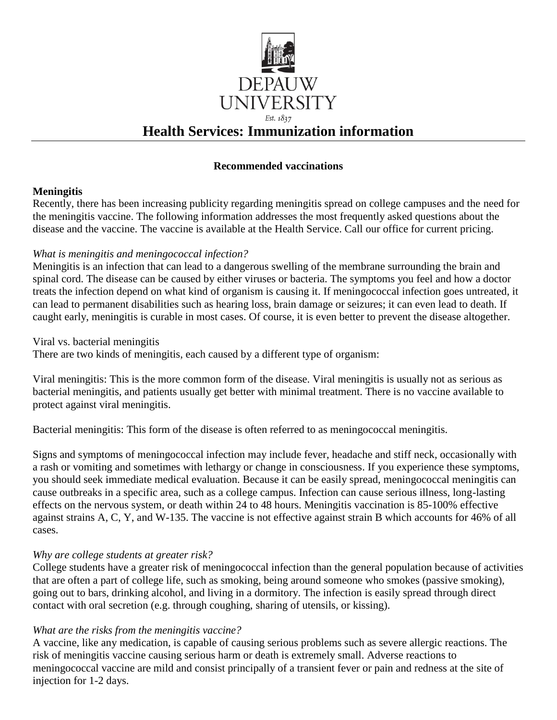

### **Recommended vaccinations**

### **Meningitis**

Recently, there has been increasing publicity regarding meningitis spread on college campuses and the need for the meningitis vaccine. The following information addresses the most frequently asked questions about the disease and the vaccine. The vaccine is available at the Health Service. Call our office for current pricing.

### *What is meningitis and meningococcal infection?*

Meningitis is an infection that can lead to a dangerous swelling of the membrane surrounding the brain and spinal cord. The disease can be caused by either viruses or bacteria. The symptoms you feel and how a doctor treats the infection depend on what kind of organism is causing it. If meningococcal infection goes untreated, it can lead to permanent disabilities such as hearing loss, brain damage or seizures; it can even lead to death. If caught early, meningitis is curable in most cases. Of course, it is even better to prevent the disease altogether.

Viral vs. bacterial meningitis

There are two kinds of meningitis, each caused by a different type of organism:

Viral meningitis: This is the more common form of the disease. Viral meningitis is usually not as serious as bacterial meningitis, and patients usually get better with minimal treatment. There is no vaccine available to protect against viral meningitis.

Bacterial meningitis: This form of the disease is often referred to as meningococcal meningitis.

Signs and symptoms of meningococcal infection may include fever, headache and stiff neck, occasionally with a rash or vomiting and sometimes with lethargy or change in consciousness. If you experience these symptoms, you should seek immediate medical evaluation. Because it can be easily spread, meningococcal meningitis can cause outbreaks in a specific area, such as a college campus. Infection can cause serious illness, long-lasting effects on the nervous system, or death within 24 to 48 hours. Meningitis vaccination is 85-100% effective against strains A, C, Y, and W-135. The vaccine is not effective against strain B which accounts for 46% of all cases.

### *Why are college students at greater risk?*

College students have a greater risk of meningococcal infection than the general population because of activities that are often a part of college life, such as smoking, being around someone who smokes (passive smoking), going out to bars, drinking alcohol, and living in a dormitory. The infection is easily spread through direct contact with oral secretion (e.g. through coughing, sharing of utensils, or kissing).

### *What are the risks from the meningitis vaccine?*

A vaccine, like any medication, is capable of causing serious problems such as severe allergic reactions. The risk of meningitis vaccine causing serious harm or death is extremely small. Adverse reactions to meningococcal vaccine are mild and consist principally of a transient fever or pain and redness at the site of injection for 1-2 days.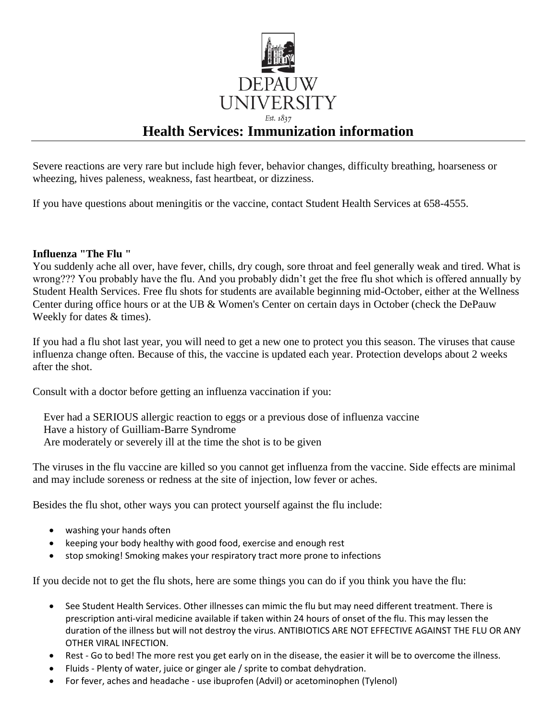

Severe reactions are very rare but include high fever, behavior changes, difficulty breathing, hoarseness or wheezing, hives paleness, weakness, fast heartbeat, or dizziness.

If you have questions about meningitis or the vaccine, contact Student Health Services at 658-4555.

#### **Influenza "The Flu "**

You suddenly ache all over, have fever, chills, dry cough, sore throat and feel generally weak and tired. What is wrong??? You probably have the flu. And you probably didn't get the free flu shot which is offered annually by Student Health Services. Free flu shots for students are available beginning mid-October, either at the Wellness Center during office hours or at the UB & Women's Center on certain days in October (check the DePauw Weekly for dates & times).

If you had a flu shot last year, you will need to get a new one to protect you this season. The viruses that cause influenza change often. Because of this, the vaccine is updated each year. Protection develops about 2 weeks after the shot.

Consult with a doctor before getting an influenza vaccination if you:

 Ever had a SERIOUS allergic reaction to eggs or a previous dose of influenza vaccine Have a history of Guilliam-Barre Syndrome Are moderately or severely ill at the time the shot is to be given

The viruses in the flu vaccine are killed so you cannot get influenza from the vaccine. Side effects are minimal and may include soreness or redness at the site of injection, low fever or aches.

Besides the flu shot, other ways you can protect yourself against the flu include:

- washing your hands often
- keeping your body healthy with good food, exercise and enough rest
- stop smoking! Smoking makes your respiratory tract more prone to infections

If you decide not to get the flu shots, here are some things you can do if you think you have the flu:

- See Student Health Services. Other illnesses can mimic the flu but may need different treatment. There is prescription anti-viral medicine available if taken within 24 hours of onset of the flu. This may lessen the duration of the illness but will not destroy the virus. ANTIBIOTICS ARE NOT EFFECTIVE AGAINST THE FLU OR ANY OTHER VIRAL INFECTION.
- Rest Go to bed! The more rest you get early on in the disease, the easier it will be to overcome the illness.
- Fluids Plenty of water, juice or ginger ale / sprite to combat dehydration.
- For fever, aches and headache use ibuprofen (Advil) or acetominophen (Tylenol)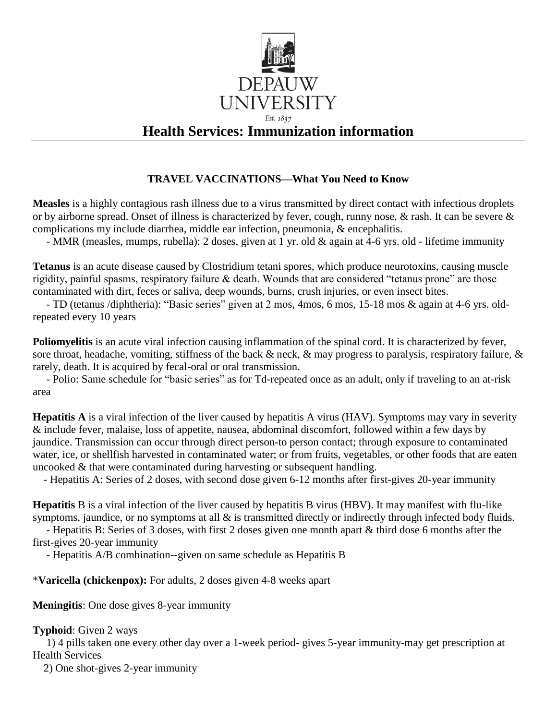

### **TRAVEL VACCINATIONS—What You Need to Know**

**Measles** is a highly contagious rash illness due to a virus transmitted by direct contact with infectious droplets or by airborne spread. Onset of illness is characterized by fever, cough, runny nose, & rash. It can be severe & complications my include diarrhea, middle ear infection, pneumonia, & encephalitis.

- MMR (measles, mumps, rubella): 2 doses, given at 1 yr. old & again at 4-6 yrs. old - lifetime immunity

**Tetanus** is an acute disease caused by Clostridium tetani spores, which produce neurotoxins, causing muscle rigidity, painful spasms, respiratory failure & death. Wounds that are considered "tetanus prone" are those contaminated with dirt, feces or saliva, deep wounds, burns, crush injuries, or even insect bites.

 - TD (tetanus /diphtheria): "Basic series" given at 2 mos, 4mos, 6 mos, 15-18 mos & again at 4-6 yrs. oldrepeated every 10 years

**Poliomyelitis** is an acute viral infection causing inflammation of the spinal cord. It is characterized by fever, sore throat, headache, vomiting, stiffness of the back & neck, & may progress to paralysis, respiratory failure, & rarely, death. It is acquired by fecal-oral or oral transmission.

 - Polio: Same schedule for "basic series" as for Td-repeated once as an adult, only if traveling to an at-risk area

**Hepatitis A** is a viral infection of the liver caused by hepatitis A virus (HAV). Symptoms may vary in severity & include fever, malaise, loss of appetite, nausea, abdominal discomfort, followed within a few days by jaundice. Transmission can occur through direct person-to person contact; through exposure to contaminated water, ice, or shellfish harvested in contaminated water; or from fruits, vegetables, or other foods that are eaten uncooked & that were contaminated during harvesting or subsequent handling.

- Hepatitis A: Series of 2 doses, with second dose given 6-12 months after first-gives 20-year immunity

**Hepatitis** B is a viral infection of the liver caused by hepatitis B virus (HBV). It may manifest with flu-like symptoms, jaundice, or no symptoms at all  $\&$  is transmitted directly or indirectly through infected body fluids.

 - Hepatitis B: Series of 3 doses, with first 2 doses given one month apart & third dose 6 months after the first-gives 20-year immunity

- Hepatitis A/B combination--given on same schedule as Hepatitis B

\***Varicella (chickenpox):** For adults, 2 doses given 4-8 weeks apart

**Meningitis**: One dose gives 8-year immunity

### **Typhoid**: Given 2 ways

 1) 4 pills taken one every other day over a 1-week period- gives 5-year immunity-may get prescription at Health Services

2) One shot-gives 2-year immunity